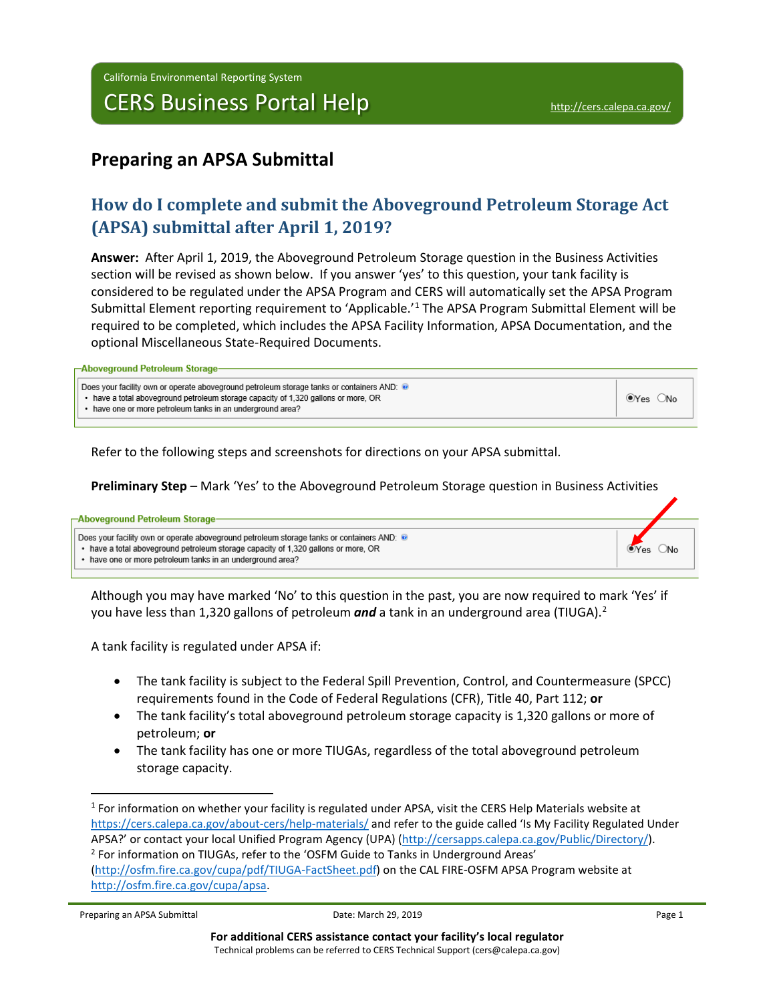## **Preparing an APSA Submittal**

## **How do I complete and submit the Aboveground Petroleum Storage Act (APSA) submittal after April 1, 2019?**

**Answer:** After April 1, 2019, the Aboveground Petroleum Storage question in the Business Activities section will be revised as shown below. If you answer 'yes' to this question, your tank facility is considered to be regulated under the APSA Program and CERS will automatically set the APSA Program Submittal Element reporting requirement to 'Applicable.'[1](#page-0-0) The APSA Program Submittal Element will be required to be completed, which includes the APSA Facility Information, APSA Documentation, and the optional Miscellaneous State-Required Documents.

| -Aboveground Petroleum Storage- |  |
|---------------------------------|--|
|---------------------------------|--|

| Does your facility own or operate aboveground petroleum storage tanks or containers AND: $\bullet$<br>• have a total aboveground petroleum storage capacity of 1,320 gallons or more, OR<br>_No<br>(●Yes (<br>• have one or more petroleum tanks in an underground area? |
|--------------------------------------------------------------------------------------------------------------------------------------------------------------------------------------------------------------------------------------------------------------------------|
|--------------------------------------------------------------------------------------------------------------------------------------------------------------------------------------------------------------------------------------------------------------------------|

Refer to the following steps and screenshots for directions on your APSA submittal.

**Preliminary Step** – Mark 'Yes' to the Aboveground Petroleum Storage question in Business Activities

#### -Aboveground Petroleum Storage

Does your facility own or operate aboveground petroleum storage tanks or containers AND:

• have a total aboveground petroleum storage capacity of 1.320 gallons or more. OR

• have one or more petroleum tanks in an underground area?

Although you may have marked 'No' to this question in the past, you are now required to mark 'Yes' if you have less than 1,3[2](#page-0-1)0 gallons of petroleum *and* a tank in an underground area (TIUGA).<sup>2</sup>

A tank facility is regulated under APSA if:

- The tank facility is subject to the Federal Spill Prevention, Control, and Countermeasure (SPCC) requirements found in the Code of Federal Regulations (CFR), Title 40, Part 112; **or**
- The tank facility's total aboveground petroleum storage capacity is 1,320 gallons or more of petroleum; **or**
- The tank facility has one or more TIUGAs, regardless of the total aboveground petroleum storage capacity.

OYes ONo

<span id="page-0-1"></span><span id="page-0-0"></span><sup>&</sup>lt;sup>1</sup> For information on whether your facility is regulated under APSA, visit the CERS Help Materials website at <https://cers.calepa.ca.gov/about-cers/help-materials/> and refer to the guide called 'Is My Facility Regulated Under APSA?' or contact your local Unified Program Agency (UPA) [\(http://cersapps.calepa.ca.gov/Public/Directory/\)](http://cersapps.calepa.ca.gov/Public/Directory/). <sup>2</sup> For information on TIUGAs, refer to the 'OSFM Guide to Tanks in Underground Areas' [\(http://osfm.fire.ca.gov/cupa/pdf/TIUGA-FactSheet.pdf\)](http://osfm.fire.ca.gov/cupa/pdf/TIUGA-FactSheet.pdf) on the CAL FIRE-OSFM APSA Program website at [http://osfm.fire.ca.gov/cupa/apsa.](http://osfm.fire.ca.gov/cupa/apsa)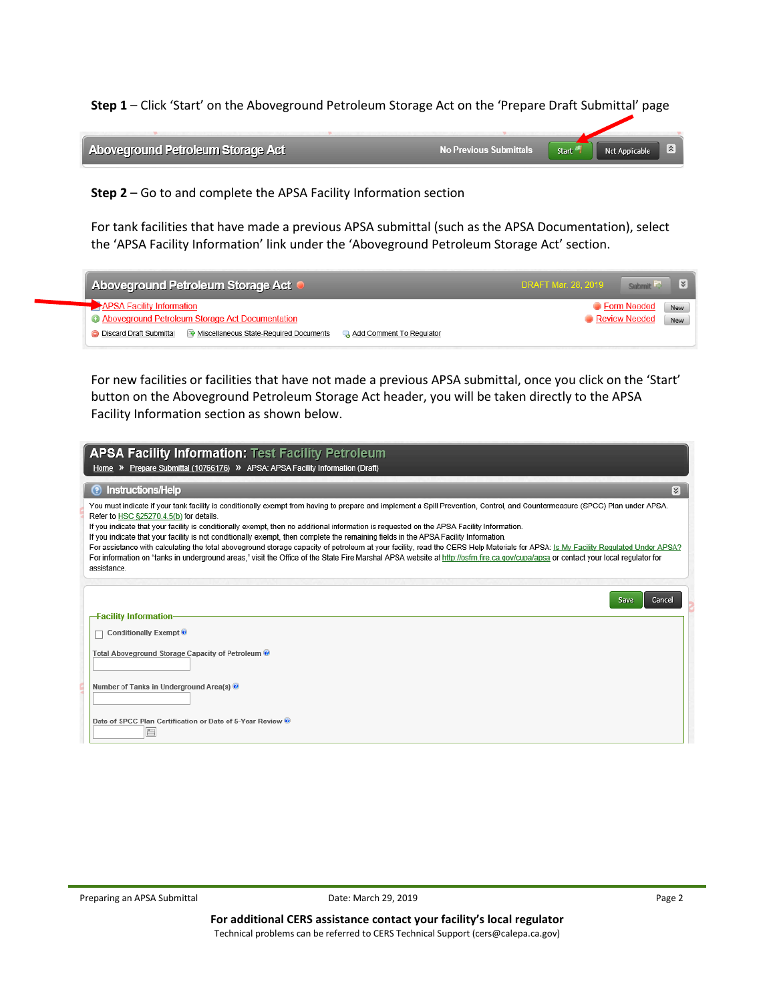**Step 1** – Click 'Start' on the Aboveground Petroleum Storage Act on the 'Prepare Draft Submittal' page

| Aboveground Petroleum Storage Act | Start <sup>'</sup> | <b>Not Applicable</b> | ∣∞∣ |
|-----------------------------------|--------------------|-----------------------|-----|
|                                   |                    |                       |     |

**Step 2** – Go to and complete the APSA Facility Information section

For tank facilities that have made a previous APSA submittal (such as the APSA Documentation), select the 'APSA Facility Information' link under the 'Aboveground Petroleum Storage Act' section.

| Aboveground Petroleum Storage Act                                                                             | $\checkmark$<br><b>DRAFT Mar. 28, 2019</b><br>Submit |
|---------------------------------------------------------------------------------------------------------------|------------------------------------------------------|
| <b>EXAPSA Facility Information</b>                                                                            | <b>C</b> Form Needed<br>New                          |
| Aboveground Petroleum Storage Act Documentation                                                               | Review Needed<br>New                                 |
| Miscellaneous State-Required Documents<br><b>O</b> Discard Draft Submittal<br><b>Add Comment To Requiator</b> |                                                      |

For new facilities or facilities that have not made a previous APSA submittal, once you click on the 'Start' button on the Aboveground Petroleum Storage Act header, you will be taken directly to the APSA Facility Information section as shown below.

| <b>APSA Facility Information: Test Facility Petroleum</b><br>Home » Prepare Submittal (10766176) » APSA: APSA Facility Information (Draft)                                                                                                                                                                                                                                                                                                                                                                                                                                                                                                                                                                                                                                                                                                                                                            |
|-------------------------------------------------------------------------------------------------------------------------------------------------------------------------------------------------------------------------------------------------------------------------------------------------------------------------------------------------------------------------------------------------------------------------------------------------------------------------------------------------------------------------------------------------------------------------------------------------------------------------------------------------------------------------------------------------------------------------------------------------------------------------------------------------------------------------------------------------------------------------------------------------------|
| Instructions/Help<br> ≼                                                                                                                                                                                                                                                                                                                                                                                                                                                                                                                                                                                                                                                                                                                                                                                                                                                                               |
| You must indicate if your tank facility is conditionally exempt from having to prepare and implement a Spill Prevention, Control, and Countermeasure (SPCC) Plan under APSA.<br>Refer to HSC §25270.4.5(b) for details.<br>If you indicate that your facility is conditionally exempt, then no additional information is requested on the APSA Facility Information.<br>If you indicate that your facility is not conditionally exempt, then complete the remaining fields in the APSA Facility Information.<br>For assistance with calculating the total aboveground storage capacity of petroleum at your facility, read the CERS Help Materials for APSA: Is My Facility Requlated Under APSA?<br>For information on "tanks in underground areas," visit the Office of the State Fire Marshal APSA website at http://osfm.fire.ca.gov/cupa/apsa or contact your local requlator for<br>assistance. |
| Cancel<br>Save                                                                                                                                                                                                                                                                                                                                                                                                                                                                                                                                                                                                                                                                                                                                                                                                                                                                                        |
| -Facility Information-<br>Conditionally Exempt <sup>o</sup>                                                                                                                                                                                                                                                                                                                                                                                                                                                                                                                                                                                                                                                                                                                                                                                                                                           |
| Total Aboveground Storage Capacity of Petroleum                                                                                                                                                                                                                                                                                                                                                                                                                                                                                                                                                                                                                                                                                                                                                                                                                                                       |
| Number of Tanks in Underground Area(s)                                                                                                                                                                                                                                                                                                                                                                                                                                                                                                                                                                                                                                                                                                                                                                                                                                                                |
| Date of SPCC Plan Certification or Date of 5-Year Review<br>囲                                                                                                                                                                                                                                                                                                                                                                                                                                                                                                                                                                                                                                                                                                                                                                                                                                         |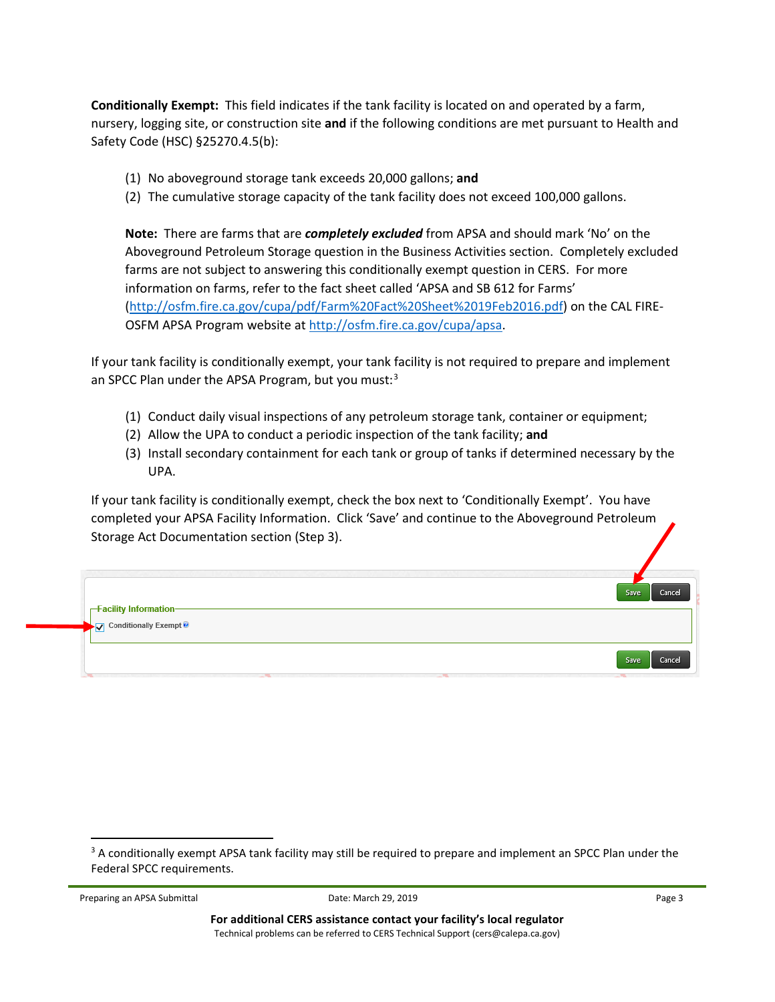**Conditionally Exempt:** This field indicates if the tank facility is located on and operated by a farm, nursery, logging site, or construction site **and** if the following conditions are met pursuant to Health and Safety Code (HSC) §25270.4.5(b):

- (1) No aboveground storage tank exceeds 20,000 gallons; **and**
- (2) The cumulative storage capacity of the tank facility does not exceed 100,000 gallons.

**Note:** There are farms that are *completely excluded* from APSA and should mark 'No' on the Aboveground Petroleum Storage question in the Business Activities section. Completely excluded farms are not subject to answering this conditionally exempt question in CERS. For more information on farms, refer to the fact sheet called 'APSA and SB 612 for Farms' [\(http://osfm.fire.ca.gov/cupa/pdf/Farm%20Fact%20Sheet%2019Feb2016.pdf\)](http://osfm.fire.ca.gov/cupa/pdf/Farm%20Fact%20Sheet%2019Feb2016.pdf) on the CAL FIRE-OSFM APSA Program website at [http://osfm.fire.ca.gov/cupa/apsa.](http://osfm.fire.ca.gov/cupa/apsa)

If your tank facility is conditionally exempt, your tank facility is not required to prepare and implement an SPCC Plan under the APSA Program, but you must:<sup>[3](#page-2-0)</sup>

- (1) Conduct daily visual inspections of any petroleum storage tank, container or equipment;
- (2) Allow the UPA to conduct a periodic inspection of the tank facility; **and**
- (3) Install secondary containment for each tank or group of tanks if determined necessary by the UPA.

If your tank facility is conditionally exempt, check the box next to 'Conditionally Exempt'. You have completed your APSA Facility Information. Click 'Save' and continue to the Aboveground Petroleum Storage Act Documentation section (Step 3).

| Facility Information—<br>V Conditionally Exempt | Cancel<br>Save |
|-------------------------------------------------|----------------|
|                                                 | Cancel<br>Save |

Preparing an APSA Submittal **Page 3** Contact Date: March 29, 2019 **Page 3** Page 3

<span id="page-2-0"></span><sup>&</sup>lt;sup>3</sup> A conditionally exempt APSA tank facility may still be required to prepare and implement an SPCC Plan under the Federal SPCC requirements.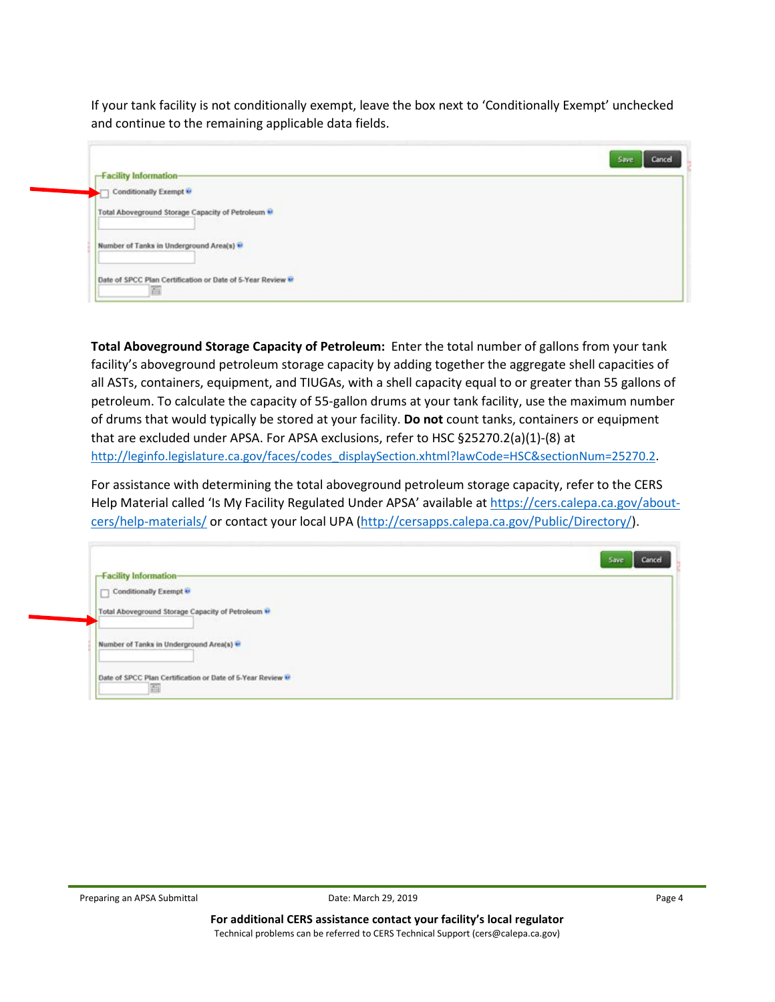If your tank facility is not conditionally exempt, leave the box next to 'Conditionally Exempt' unchecked and continue to the remaining applicable data fields.

# Save Cancel **Facility Information-**Conditionally Exempt Total Aboveground Storage Capacity of Petroleum \*\* Number of Tanks in Underground Area(s) \*\* Date of SPCC Plan Certification or Date of 5-Year Review V 画

**Total Aboveground Storage Capacity of Petroleum:** Enter the total number of gallons from your tank facility's aboveground petroleum storage capacity by adding together the aggregate shell capacities of all ASTs, containers, equipment, and TIUGAs, with a shell capacity equal to or greater than 55 gallons of petroleum. To calculate the capacity of 55-gallon drums at your tank facility, use the maximum number of drums that would typically be stored at your facility. **Do not** count tanks, containers or equipment that are excluded under APSA. For APSA exclusions, refer to HSC §25270.2(a)(1)-(8) at [http://leginfo.legislature.ca.gov/faces/codes\\_displaySection.xhtml?lawCode=HSC&sectionNum=25270.2.](http://leginfo.legislature.ca.gov/faces/codes_displaySection.xhtml?lawCode=HSC§ionNum=25270.2)

For assistance with determining the total aboveground petroleum storage capacity, refer to the CERS Help Material called 'Is My Facility Regulated Under APSA' available a[t https://cers.calepa.ca.gov/about](https://cers.calepa.ca.gov/about-cers/help-materials/)[cers/help-materials/](https://cers.calepa.ca.gov/about-cers/help-materials/) or contact your local UPA [\(http://cersapps.calepa.ca.gov/Public/Directory/\)](http://cersapps.calepa.ca.gov/Public/Directory/).

|                                                            | Cancel<br>Save |
|------------------------------------------------------------|----------------|
| <b>Facility Information-</b>                               |                |
| Conditionally Exempt<br>□                                  |                |
| Total Aboveground Storage Capacity of Petroleum            |                |
| Number of Tanks in Underground Area(s) **                  |                |
| Date of SPCC Plan Certification or Date of 5-Year Review M |                |
| 白                                                          |                |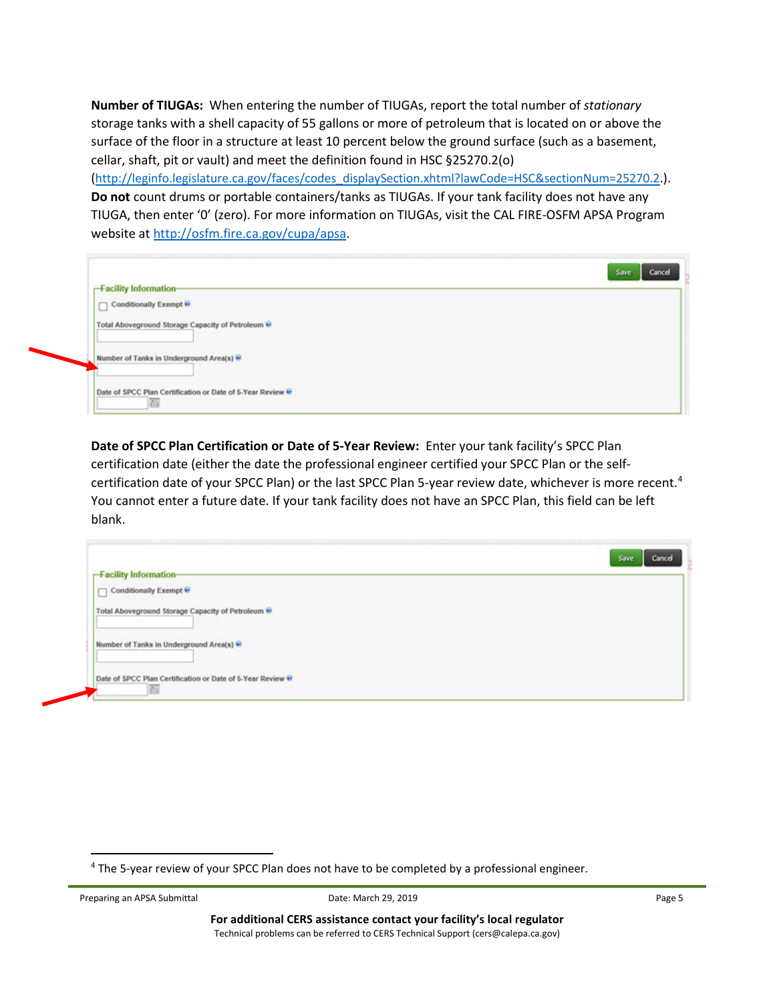**Number of TIUGAs:** When entering the number of TIUGAs, report the total number of *stationary* storage tanks with a shell capacity of 55 gallons or more of petroleum that is located on or above the surface of the floor in a structure at least 10 percent below the ground surface (such as a basement, cellar, shaft, pit or vault) and meet the definition found in HSC §25270.2(o)

[\(http://leginfo.legislature.ca.gov/faces/codes\\_displaySection.xhtml?lawCode=HSC&sectionNum=25270.2.](http://leginfo.legislature.ca.gov/faces/codes_displaySection.xhtml?lawCode=HSC§ionNum=25270.2)). **Do not** count drums or portable containers/tanks as TIUGAs. If your tank facility does not have any TIUGA, then enter '0' (zero). For more information on TIUGAs, visit the CAL FIRE-OSFM APSA Program website at [http://osfm.fire.ca.gov/cupa/apsa.](http://osfm.fire.ca.gov/cupa/apsa)

| Cancel<br>Save<br><b>Facility Information-</b>                   |  |
|------------------------------------------------------------------|--|
| Conditionally Exempt                                             |  |
| Total Aboveground Storage Capacity of Petroleum                  |  |
| Number of Tanks in Underground Area(s) **                        |  |
| Date of SPCC Plan Certification or Date of 5-Year Review **<br>曲 |  |

**Date of SPCC Plan Certification or Date of 5-Year Review:** Enter your tank facility's SPCC Plan certification date (either the date the professional engineer certified your SPCC Plan or the self-certification date of your SPCC Plan) or the last SPCC Plan 5-year review date, whichever is more recent.<sup>[4](#page-4-0)</sup> You cannot enter a future date. If your tank facility does not have an SPCC Plan, this field can be left blank.

|                                                                 | Save<br>Cancel |
|-----------------------------------------------------------------|----------------|
| <b>Facility Information-</b>                                    |                |
| Conditionally Exempt $\overline{\mathbf{e}}$                    |                |
| Total Aboveground Storage Capacity of Petroleum                 |                |
| Number of Tanks in Underground Area(s) **                       |                |
| Date of SPCC Plan Certification or Date of 5-Year Review M<br>启 |                |

<span id="page-4-0"></span> <sup>4</sup> The 5-year review of your SPCC Plan does not have to be completed by a professional engineer.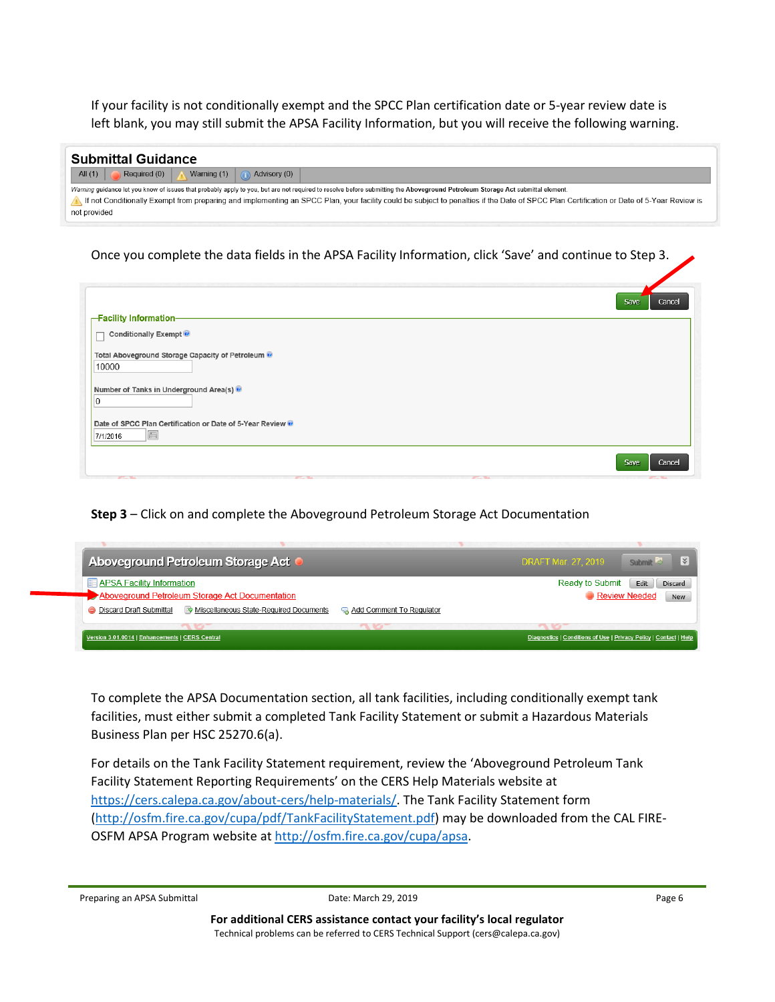If your facility is not conditionally exempt and the SPCC Plan certification date or 5-year review date is left blank, you may still submit the APSA Facility Information, but you will receive the following warning.

| <b>Submittal Guidance</b>                                                                                                                                                                |
|------------------------------------------------------------------------------------------------------------------------------------------------------------------------------------------|
| All $(1)$<br>Warning (1)<br>Required (0) <b>A</b><br>$\bigcap$ Advisory (0)                                                                                                              |
| Warning quidance let you know of issues that probably apply to you, but are not required to resolve before submitting the Aboveground Petroleum Storage Act submittal element.           |
| If not Conditionally Exempt from preparing and implementing an SPCC Plan, your facility could be subject to penalties if the Date of SPCC Plan Certification or Date of 5-Year Review is |
| not provided                                                                                                                                                                             |

Once you complete the data fields in the APSA Facility Information, click 'Save' and continue to Step 3.



**Step 3** – Click on and complete the Aboveground Petroleum Storage Act Documentation



To complete the APSA Documentation section, all tank facilities, including conditionally exempt tank facilities, must either submit a completed Tank Facility Statement or submit a Hazardous Materials Business Plan per HSC 25270.6(a).

For details on the Tank Facility Statement requirement, review the 'Aboveground Petroleum Tank Facility Statement Reporting Requirements' on the CERS Help Materials website at [https://cers.calepa.ca.gov/about-cers/help-materials/.](https://cers.calepa.ca.gov/about-cers/help-materials/) The Tank Facility Statement form [\(http://osfm.fire.ca.gov/cupa/pdf/TankFacilityStatement.pdf\)](http://osfm.fire.ca.gov/cupa/pdf/TankFacilityStatement.pdf) may be downloaded from the CAL FIRE-OSFM APSA Program website at [http://osfm.fire.ca.gov/cupa/apsa.](http://osfm.fire.ca.gov/cupa/apsa)

```
Preparing an APSA Submittal Proparties and APSA Submittal Date: March 29, 2019 Page 6
```
**For additional CERS assistance contact your facility's local regulator** Technical problems can be referred to CERS Technical Support (cers@calepa.ca.gov)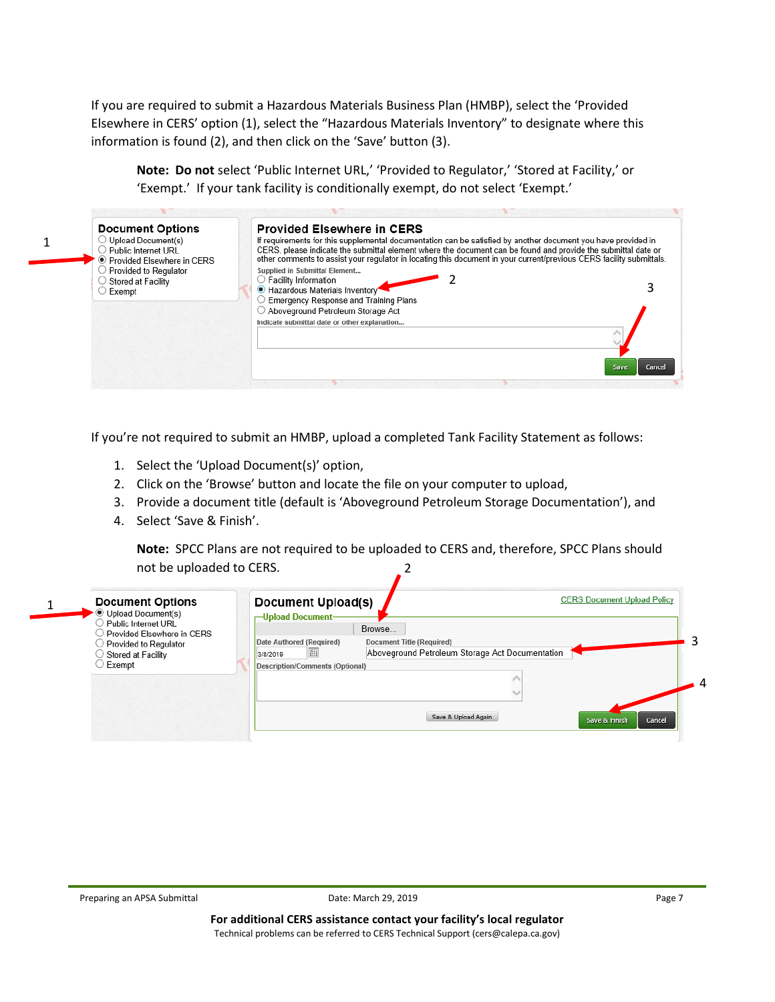If you are required to submit a Hazardous Materials Business Plan (HMBP), select the 'Provided Elsewhere in CERS' option (1), select the "Hazardous Materials Inventory" to designate where this information is found (2), and then click on the 'Save' button (3).

**Note: Do not** select 'Public Internet URL,' 'Provided to Regulator,' 'Stored at Facility,' or 'Exempt.' If your tank facility is conditionally exempt, do not select 'Exempt.'

| <b>Document Options</b><br>$\supset$ Upload Document(s)<br>Public Internet URL<br>● Provided Elsewhere in CERS<br>$\supset$ Provided to Regulator<br>$\supset$ Stored at Facility<br>$\supset$ Exempt | <b>Provided Elsewhere in CERS</b><br>If requirements for this supplemental documentation can be satisfied by another document you have provided in<br>CERS, please indicate the submittal element where the document can be found and provide the submittal date or<br>other comments to assist your regulator in locating this document in your current/previous CERS facility submittals.<br>Supplied in Submittal Element<br>$\bigcirc$ Facility Information<br>Hazardous Materials Inventory<br><b>Emergency Response and Training Plans</b><br>$\circlearrowright$ Aboveground Petroleum Storage Act<br>Indicate submittal date or other explanation |
|-------------------------------------------------------------------------------------------------------------------------------------------------------------------------------------------------------|-----------------------------------------------------------------------------------------------------------------------------------------------------------------------------------------------------------------------------------------------------------------------------------------------------------------------------------------------------------------------------------------------------------------------------------------------------------------------------------------------------------------------------------------------------------------------------------------------------------------------------------------------------------|
|                                                                                                                                                                                                       | Cancel<br>Save                                                                                                                                                                                                                                                                                                                                                                                                                                                                                                                                                                                                                                            |

If you're not required to submit an HMBP, upload a completed Tank Facility Statement as follows:

- 1. Select the 'Upload Document(s)' option,
- 2. Click on the 'Browse' button and locate the file on your computer to upload,
- 3. Provide a document title (default is 'Aboveground Petroleum Storage Documentation'), and
- 4. Select 'Save & Finish'.

**Note:** SPCC Plans are not required to be uploaded to CERS and, therefore, SPCC Plans should not be uploaded to CERS.  $\sqrt{2}$ 

| <b>Document Options</b><br><sup>●</sup> Upload Document(s)<br>Public Internet URL   | <b>Document Upload(s)</b><br>-Upload Document-                                                                                                                         | <b>CERS Document Upload Policy</b> |
|-------------------------------------------------------------------------------------|------------------------------------------------------------------------------------------------------------------------------------------------------------------------|------------------------------------|
| Provided Elsewhere in CERS<br>Provided to Regulator<br>Stored at Facility<br>Exempt | Browse<br>Date Authored (Required)<br>Document Title (Required)<br>Aboveground Petroleum Storage Act Documentation<br>圃<br>3/8/2019<br>Description/Comments (Optional) |                                    |
|                                                                                     | Save & Upload Again                                                                                                                                                    | Cancel<br>Save & Finish            |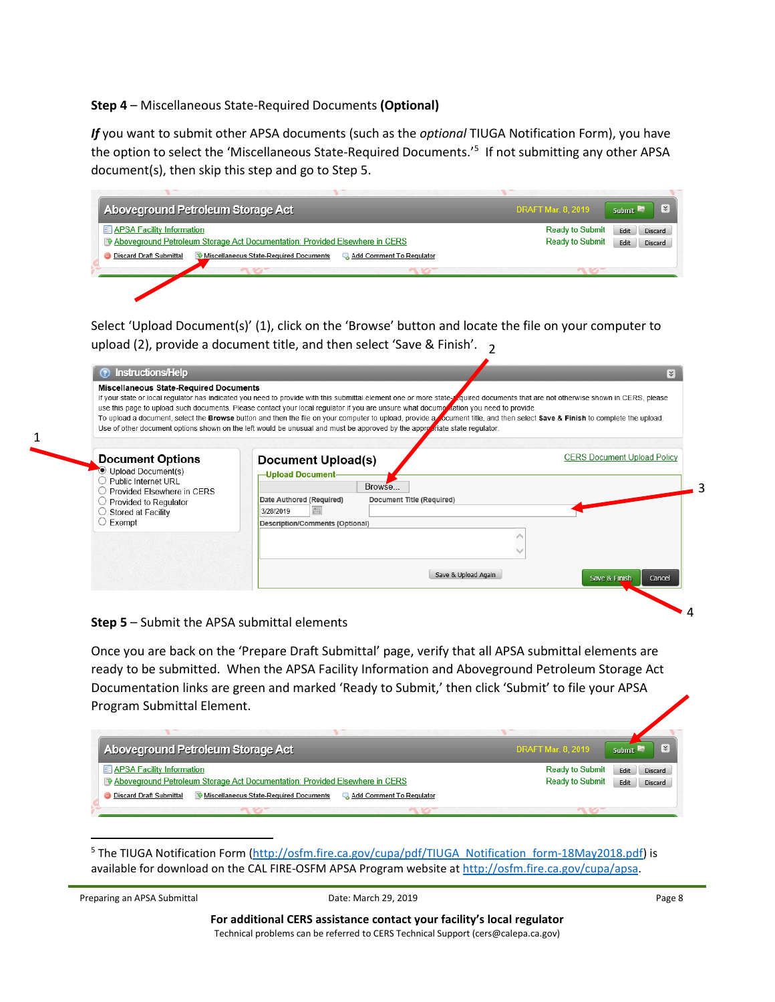### **Step 4** – Miscellaneous State-Required Documents **(Optional)**

*If* you want to submit other APSA documents (such as the *optional* TIUGA Notification Form), you have the option to select the 'Miscellaneous State-Required Documents.' [5](#page-7-0) If not submitting any other APSA document(s), then skip this step and go to Step 5.

| Aboveground Petroleum Storage Act                                                                    | $\mathbf{R}$<br><b>DRAFT Mar. 8, 2019</b><br>Submit |
|------------------------------------------------------------------------------------------------------|-----------------------------------------------------|
| <b>ED APSA Facility Information</b>                                                                  | <b>Ready to Submit</b><br>Discard<br>Edit           |
| Reflexive Above ground Petroleum Storage Act Documentation: Provided Elsewhere in CERS               | <b>Ready to Submit</b><br>Edit<br>Discard           |
| <b>Discard Draft Submittal</b><br>Miscellaneous State-Required Documents<br>Add Comment To Regulator |                                                     |

Select 'Upload Document(s)' (1), click on the 'Browse' button and locate the file on your computer to upload (2), provide a document title, and then select 'Save & Finish'. 2

| <b>R</b> |                                    |                     |                                     |                                                                                                                          | ? Instructions/Help<br><b>Miscellaneous State-Required Documents</b><br>If your state or local regulator has indicated you need to provide with this submittal element one or more state-pouried documents that are not otherwise shown in CERS, please<br>use this page to upload such documents. Please contact your local regulator if you are unsure what docume ation you need to provide.<br>To upload a document, select the Browse button and then the file on your computer to upload, provide a comment title, and then select Save & Finish to complete the upload.<br>Use of other document options shown on the left would be unusual and must be approved by the approvidate state regulator. |
|----------|------------------------------------|---------------------|-------------------------------------|--------------------------------------------------------------------------------------------------------------------------|-------------------------------------------------------------------------------------------------------------------------------------------------------------------------------------------------------------------------------------------------------------------------------------------------------------------------------------------------------------------------------------------------------------------------------------------------------------------------------------------------------------------------------------------------------------------------------------------------------------------------------------------------------------------------------------------------------------|
|          | <b>CERS Document Upload Policy</b> |                     | Browse<br>Document Title (Required) | Document Upload(s)<br>-Upload Document-<br>Date Authored (Required)<br>翢<br>3/28/2019<br>Description/Comments (Optional) | <b>Document Options</b><br>Upload Document(s)<br>Public Internet URL<br>Provided Elsewhere in CERS<br>Provided to Regulator<br>$\bigcirc$ Stored at Facility<br>$\bigcirc$ Exempt                                                                                                                                                                                                                                                                                                                                                                                                                                                                                                                           |
|          | Save & Finish                      | Save & Upload Again |                                     |                                                                                                                          |                                                                                                                                                                                                                                                                                                                                                                                                                                                                                                                                                                                                                                                                                                             |

#### **Step 5** – Submit the APSA submittal elements

Once you are back on the 'Prepare Draft Submittal' page, verify that all APSA submittal elements are ready to be submitted. When the APSA Facility Information and Aboveground Petroleum Storage Act Documentation links are green and marked 'Ready to Submit,' then click 'Submit' to file your APSA Program Submittal Element.

| Aboveground Petroleum Storage Act                                                                                           | $\mathbf{R}$<br><b>DRAFT Mar. 8, 2019</b><br>Submit                                           |
|-----------------------------------------------------------------------------------------------------------------------------|-----------------------------------------------------------------------------------------------|
| <b>E APSA Facility Information</b><br>Reflexive Aboveground Petroleum Storage Act Documentation: Provided Elsewhere in CERS | <b>Ready to Submit</b><br><b>Discard</b><br>Edit<br><b>Ready to Submit</b><br>Edit<br>Discard |
| Miscellaneous State-Required Documents<br>Add Comment To Regulator<br><b>Discard Draft Submittal</b>                        |                                                                                               |
|                                                                                                                             |                                                                                               |

<span id="page-7-0"></span><sup>5</sup> The TIUGA Notification Form [\(http://osfm.fire.ca.gov/cupa/pdf/TIUGA\\_Notification\\_form-18May2018.pdf\)](http://osfm.fire.ca.gov/cupa/pdf/TIUGA_Notification_form-18May2018.pdf) is available for download on the CAL FIRE-OSFM APSA Program website at http://osfm.fire.ca.gov/cupa/apsa.

```
Preparing an APSA Submittal Proparties and APSA Submittal Date: March 29, 2019 Page 8
```
**For additional CERS assistance contact your facility's local regulator** Technical problems can be referred to CERS Technical Support (cers@calepa.ca.gov)